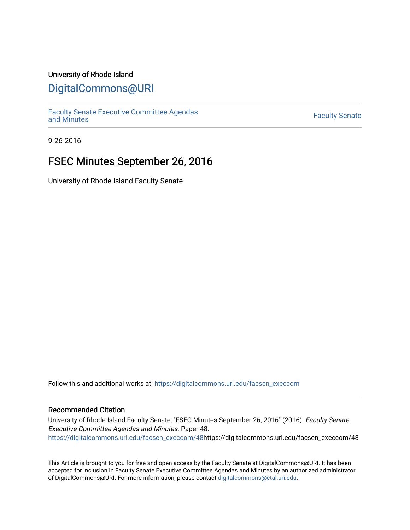### University of Rhode Island

### [DigitalCommons@URI](https://digitalcommons.uri.edu/)

[Faculty Senate Executive Committee Agendas](https://digitalcommons.uri.edu/facsen_execcom)  [and Minutes](https://digitalcommons.uri.edu/facsen_execcom) [Faculty Senate](https://digitalcommons.uri.edu/facsen) 

9-26-2016

## FSEC Minutes September 26, 2016

University of Rhode Island Faculty Senate

Follow this and additional works at: [https://digitalcommons.uri.edu/facsen\\_execcom](https://digitalcommons.uri.edu/facsen_execcom?utm_source=digitalcommons.uri.edu%2Ffacsen_execcom%2F48&utm_medium=PDF&utm_campaign=PDFCoverPages) 

### Recommended Citation

University of Rhode Island Faculty Senate, "FSEC Minutes September 26, 2016" (2016). Faculty Senate Executive Committee Agendas and Minutes. Paper 48. [https://digitalcommons.uri.edu/facsen\\_execcom/48h](https://digitalcommons.uri.edu/facsen_execcom/48?utm_source=digitalcommons.uri.edu%2Ffacsen_execcom%2F48&utm_medium=PDF&utm_campaign=PDFCoverPages)ttps://digitalcommons.uri.edu/facsen\_execcom/48

This Article is brought to you for free and open access by the Faculty Senate at DigitalCommons@URI. It has been accepted for inclusion in Faculty Senate Executive Committee Agendas and Minutes by an authorized administrator of DigitalCommons@URI. For more information, please contact [digitalcommons@etal.uri.edu](mailto:digitalcommons@etal.uri.edu).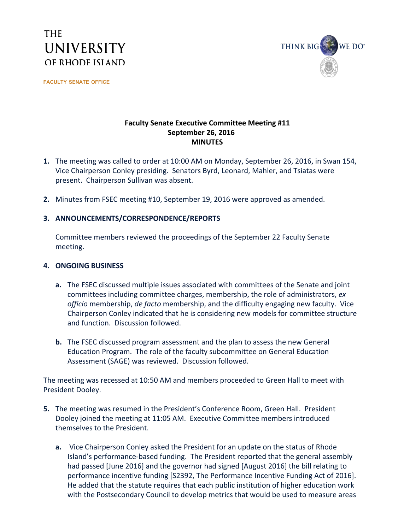# **THE UNIVERSITY** OF RHODE ISLAND

**FACULTY SENATE OFFICE**



### **Faculty Senate Executive Committee Meeting #11 September 26, 2016 MINUTES**

- **1.** The meeting was called to order at 10:00 AM on Monday, September 26, 2016, in Swan 154, Vice Chairperson Conley presiding. Senators Byrd, Leonard, Mahler, and Tsiatas were present. Chairperson Sullivan was absent.
- **2.** Minutes from FSEC meeting #10, September 19, 2016 were approved as amended.

### **3. ANNOUNCEMENTS/CORRESPONDENCE/REPORTS**

Committee members reviewed the proceedings of the September 22 Faculty Senate meeting.

#### **4. ONGOING BUSINESS**

- **a.** The FSEC discussed multiple issues associated with committees of the Senate and joint committees including committee charges, membership, the role of administrators, *ex officio* membership, *de facto* membership, and the difficulty engaging new faculty. Vice Chairperson Conley indicated that he is considering new models for committee structure and function. Discussion followed.
- **b.** The FSEC discussed program assessment and the plan to assess the new General Education Program. The role of the faculty subcommittee on General Education Assessment (SAGE) was reviewed. Discussion followed.

The meeting was recessed at 10:50 AM and members proceeded to Green Hall to meet with President Dooley.

- **5.** The meeting was resumed in the President's Conference Room, Green Hall. President Dooley joined the meeting at 11:05 AM. Executive Committee members introduced themselves to the President.
	- **a.** Vice Chairperson Conley asked the President for an update on the status of Rhode Island's performance-based funding. The President reported that the general assembly had passed [June 2016] and the governor had signed [August 2016] the bill relating to performance incentive funding [S2392, The Performance Incentive Funding Act of 2016]. He added that the statute requires that each public institution of higher education work with the Postsecondary Council to develop metrics that would be used to measure areas